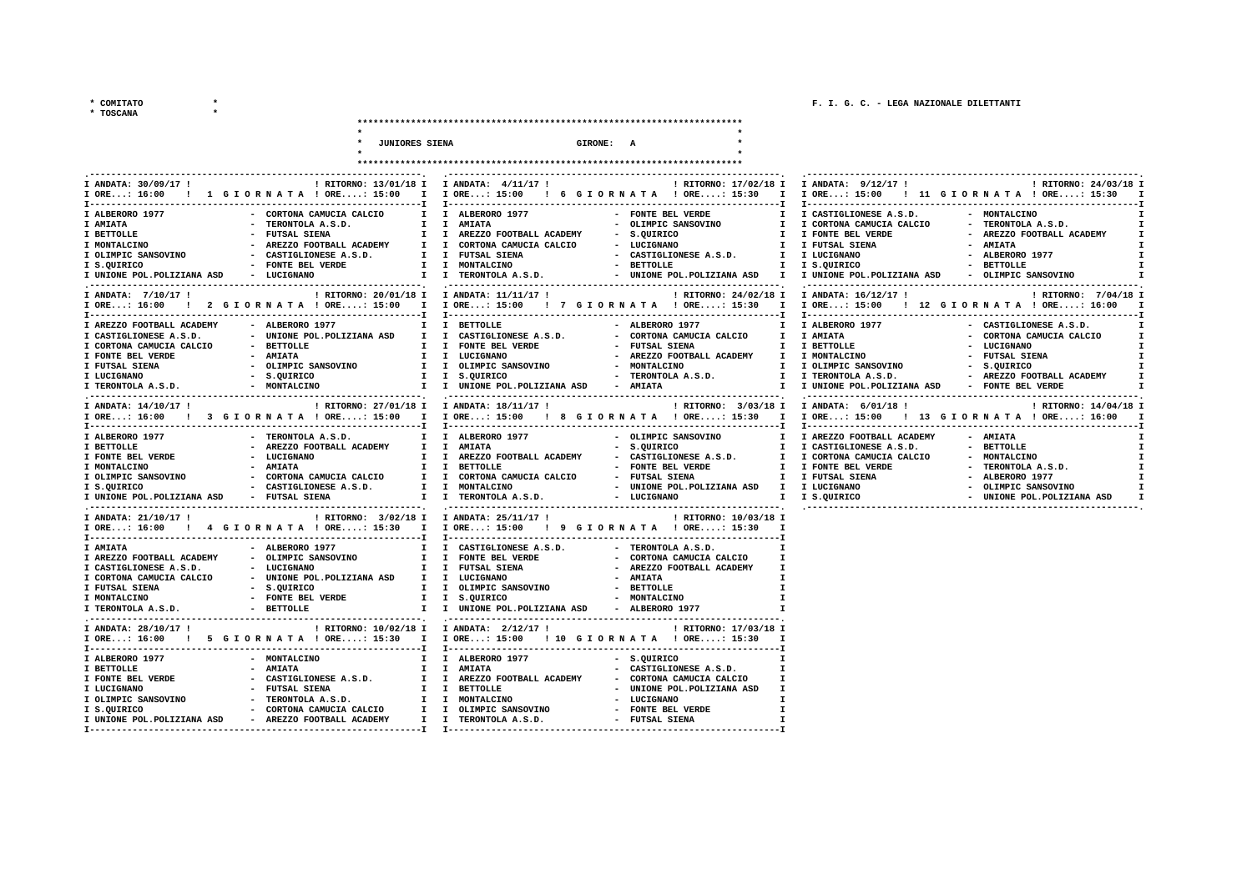**\* TOSCANA \*** 

|                                                                                                                                                                                                                                                                                                                    | <b>JUNIORES SIENA</b><br>GIRONE: A                                                                                                                                                                                                                                                                                                                                                          |                                                                                                                                                                                                                                                                                                                |
|--------------------------------------------------------------------------------------------------------------------------------------------------------------------------------------------------------------------------------------------------------------------------------------------------------------------|---------------------------------------------------------------------------------------------------------------------------------------------------------------------------------------------------------------------------------------------------------------------------------------------------------------------------------------------------------------------------------------------|----------------------------------------------------------------------------------------------------------------------------------------------------------------------------------------------------------------------------------------------------------------------------------------------------------------|
|                                                                                                                                                                                                                                                                                                                    |                                                                                                                                                                                                                                                                                                                                                                                             |                                                                                                                                                                                                                                                                                                                |
|                                                                                                                                                                                                                                                                                                                    |                                                                                                                                                                                                                                                                                                                                                                                             |                                                                                                                                                                                                                                                                                                                |
| I ANDATA: 30/09/17 !<br>I ORE: 16:00 ! 1 G I O R N A T A ! ORE: 15:00                                                                                                                                                                                                                                              | ! RITORNO: 13/01/18 I I ANDATA: 4/11/17 !<br>I I ORE: 15:00<br>! 6 GIORNATA ! ORE: 15:30<br>$\mathbf{I}$                                                                                                                                                                                                                                                                                    | ! RITORNO: 17/02/18 I I ANDATA: 9/12/17 !<br>! RITORNO: 24/03/18 I<br>I ORE: 15:00<br>! 11 GIORNATA ! ORE: 15:30 I                                                                                                                                                                                             |
| I ALBERORO 1977<br>- CORTONA CAMUCIA CALCIO<br>I AMIATA<br>- TERONTOLA A.S.D.<br>I BETTOLLE<br>- FUTSAL SIENA<br>I MONTALCINO<br>- AREZZO FOOTBALL ACADEMY<br>I OLIMPIC SANSOVINO<br>- CASTIGLIONESE A.S.D.<br>- FONTE BEL VERDE<br>I S.QUIRICO<br>I UNIONE POL. POLIZIANA ASD<br>- LUCIGNANO                      | I I ALBERORO 1977<br>- FONTE BEL VERDE<br>$\mathbf{I}$<br>I I AMIATA<br>- OLIMPIC SANSOVINO<br>I.<br>I I AREZZO FOOTBALL ACADEMY<br>- S.QUIRICO<br>$^{\mathsf{T}}$<br>I I CORTONA CAMUCIA CALCIO<br>- LUCIGNANO<br>$\mathbf{I}$<br>I I FUTSAL SIENA<br>- CASTIGLIONESE A.S.D.<br>I I MONTALCINO<br>- BETTOLLE<br>I.<br>I I TERONTOLA A.S.D.<br>- UNIONE POL. POLIZIANA ASD<br>$\mathbf{I}$  | I CASTIGLIONESE A.S.D.<br>- MONTALCINO<br>I CORTONA CAMUCIA CALCIO<br>- TERONTOLA A.S.D.<br>$\mathbf{I}$<br>I FONTE BEL VERDE<br>- AREZZO FOOTBALL ACADEMY<br>I FUTSAL SIENA<br>- AMIATA<br>I I LUCIGNANO<br>- ALBERORO 1977<br>I S.QUIRICO<br>- BETTOLLE<br>I UNIONE POL.POLIZIANA ASD<br>- OLIMPIC SANSOVINO |
| I ANDATA: 7/10/17 !<br>! 2 GIORNATA ! ORE: 15:00<br>$I$ ORE: 16:00                                                                                                                                                                                                                                                 | ! RITORNO: 20/01/18 I I ANDATA: 11/11/17 !<br>! RITORNO: 24/02/18 I<br>I I ORE: 15:00<br>! 7 GIORNATA ! ORE: 15:30<br>$\mathbf{I}$                                                                                                                                                                                                                                                          | I ANDATA: 16/12/17 !<br>! RITORNO: 7/04/18 I<br>I ORE: 15:00<br>! 12 GIORNATA ! ORE: 16:00                                                                                                                                                                                                                     |
| T----------------<br>I AREZZO FOOTBALL ACADEMY<br>- ALBERORO 1977<br>- UNIONE POL. POLIZIANA ASD<br>I CASTIGLIONESE A.S.D.<br>I CORTONA CAMUCIA CALCIO<br>- BETTOLLE<br>I FONTE BEL VERDE<br>- AMIATA<br>- OLIMPIC SANSOVINO<br>I FUTSAL SIENA<br>I LUCIGNANO<br>- s.QUIRICO<br>I TERONTOLA A.S.D.<br>- MONTALCINO | I BETTOLLE<br>ALBERORO 1977<br>I.<br>I CASTIGLIONESE A.S.D.<br>- CORTONA CAMUCIA CALCIO<br>I.<br>I FONTE BEL VERDE<br>- FUTSAL SIENA<br>I.<br>I.<br>- AREZZO FOOTBALL ACADEMY<br>I LUCIGNANO<br>Ι.<br>- MONTALCINO<br>I.<br>I I OLIMPIC SANSOVINO<br>I I S.QUIRICO<br>- TERONTOLA A.S.D.<br>I.<br>- AMIATA<br>I I UNIONE POL. POLIZIANA ASD<br>т.                                           | I ALBERORO 1977<br>- CASTIGLIONESE A.S.D.<br><b>I AMIATA</b><br>- CORTONA CAMUCIA CALCIO<br>I BETTOLLE<br>- LUCIGNANO<br>I I MONTALCINO<br>- FUTSAL SIENA<br>I OLIMPIC SANSOVINO<br>- S.QUIRICO<br>I TERONTOLA A.S.D.<br>- AREZZO FOOTBALL ACADEMY<br>I UNIONE POL.POLIZIANA ASD<br>- FONTE BEL VERDE          |
| I ANDATA: 14/10/17 !                                                                                                                                                                                                                                                                                               | ! RITORNO: 27/01/18 I I ANDATA: 18/11/17 !<br>! RITORNO: 3/03/18 I<br>I ORE: 16:00 ! 3 G I O R N A T A ! ORE: 15:00 I I ORE: 15:00 ! 8 G I O R N A T A ! ORE: 15:30<br>$\mathbf{I}$                                                                                                                                                                                                         | I ANDATA: 6/01/18 !<br>! RITORNO: 14/04/18 I<br>I ORE: 15:00 ! 13 G I O R N A T A ! ORE: 16:00                                                                                                                                                                                                                 |
| I ALBERORO 1977<br>- TERONTOLA A.S.D.<br>- AREZZO FOOTBALL ACADEMY<br>I BETTOLLE<br>- LUCIGNANO<br>I FONTE BEL VERDE<br>I MONTALCINO<br>- AMIATA<br>I OLIMPIC SANSOVINO<br>- CORTONA CAMUCIA CALCIO<br>- CASTIGLIONESE A.S.D.<br>I S.QUIRICO<br>- FUTSAL SIENA<br>I UNIONE POL. POLIZIANA ASD                      | - OLIMPIC SANSOVINO<br>I ALBERORO 1977<br>I.<br>Ι.<br>I I AMIATA<br>- S.QUIRICO<br>$^{\mathsf{T}}$<br>I.<br>I AREZZO FOOTBALL ACADEMY<br>- CASTIGLIONESE A.S.D.<br>I.<br>I I BETTOLLE<br>- FONTE BEL VERDE<br>I.<br>I I CORTONA CAMUCIA CALCIO<br>- FUTSAL SIENA<br>I.<br>I I MONTALCINO<br>- UNIONE POL. POLIZIANA ASD<br>I I TERONTOLA A.S.D.<br>- LUCIGNANO                              | I AREZZO FOOTBALL ACADEMY<br>- AMIATA<br>I CASTIGLIONESE A.S.D.<br>- BETTOLLE<br>- MONTALCINO<br>I CORTONA CAMUCIA CALCIO<br>I FONTE BEL VERDE<br>- TERONTOLA A.S.D.<br>I FUTSAL SIENA<br>- ALBERORO 1977<br>I I LUCIGNANO<br>- OLIMPIC SANSOVINO<br>I S.QUIRICO<br>- UNIONE POL.POLIZIANA ASD                 |
| I ANDATA: 21/10/17 !<br>! RITORNO: 3/02/18 I<br>ORE: 16:00 ! 4 GIORNATA ! ORE: 15:30                                                                                                                                                                                                                               | ! RITORNO: 10/03/18 I<br>I ANDATA: 25/11/17 !<br>п.<br>$I$ ORE: 15:00<br>! 9 GIORNATA ! ORE: 15:30<br>I                                                                                                                                                                                                                                                                                     |                                                                                                                                                                                                                                                                                                                |
| I AMIATA<br>- ALBERORO 1977<br>I AREZZO FOOTBALL ACADEMY<br>- OLIMPIC SANSOVINO<br>I CASTIGLIONESE A.S.D.<br>- LUCIGNANO<br>I CORTONA CAMUCIA CALCIO<br>- UNIONE POL. POLIZIANA ASD<br>I FUTSAL SIENA<br>- S.QUIRICO<br>I MONTALCINO<br>- FONTE BEL VERDE<br>I TERONTOLA A.S.D.<br>- BETTOLLE                      | I CASTIGLIONESE A.S.D.<br>- TERONTOLA A.S.D.<br>I.<br>$\mathbf{I}$<br>I FONTE BEL VERDE<br>- CORTONA CAMUCIA CALCIO<br>I FUTSAL SIENA<br>- AREZZO FOOTBALL ACADEMY<br>I.<br>I.<br>- AMIATA<br>I LUCIGNANO<br>I.<br>I.<br>I I OLIMPIC SANSOVINO<br>- BETTOLLE<br>I.<br>I I S.QUIRICO<br>- MONTALCINO<br>$\mathbf{r}$<br>I UNIONE POL. POLIZIANA ASD<br>$\mathbf{I}$<br>- ALBERORO 1977       |                                                                                                                                                                                                                                                                                                                |
| I ANDATA: 28/10/17 !                                                                                                                                                                                                                                                                                               | ! RITORNO: 10/02/18 I I ANDATA: 2/12/17 !<br>! RITORNO: 17/03/18 I<br>ORE: 16:00 ! 5 GIORNATA ! ORE: 15:30 I IORE: 15:00 ! 10 GIORNATA ! ORE: 15:30                                                                                                                                                                                                                                         |                                                                                                                                                                                                                                                                                                                |
| I ALBERORO 1977<br>- MONTALCINO<br>- AMIATA<br>I BETTOLLE<br>I FONTE BEL VERDE<br>- CASTIGLIONESE A.S.D.<br>- FUTSAL SIENA<br>I LUCIGNANO<br>I OLIMPIC SANSOVINO<br>- TERONTOLA A.S.D.<br>I S.QUIRICO<br>- CORTONA CAMUCIA CALCIO<br>I UNIONE POL. POLIZIANA ASD<br>- AREZZO FOOTBALL ACADEMY                      | I ALBERORO 1977<br>- S.QUIRICO<br>$\mathbf{r}$<br>I AMIATA<br>- CASTIGLIONESE A.S.D.<br>I<br><b>I</b><br>I I AREZZO FOOTBALL ACADEMY<br>- CORTONA CAMUCIA CALCIO<br>I.<br>I I BETTOLLE<br>- UNIONE POL. POLIZIANA ASD<br>I.<br>I I MONTALCINO<br><b>LUCIGNANO</b><br>I.<br>I I OLIMPIC SANSOVINO<br>- FONTE BEL VERDE<br>I.<br>I I TERONTOLA A.S.D.<br>- FUTSAL SIENA<br>I.<br>. <u>.</u> T |                                                                                                                                                                                                                                                                                                                |